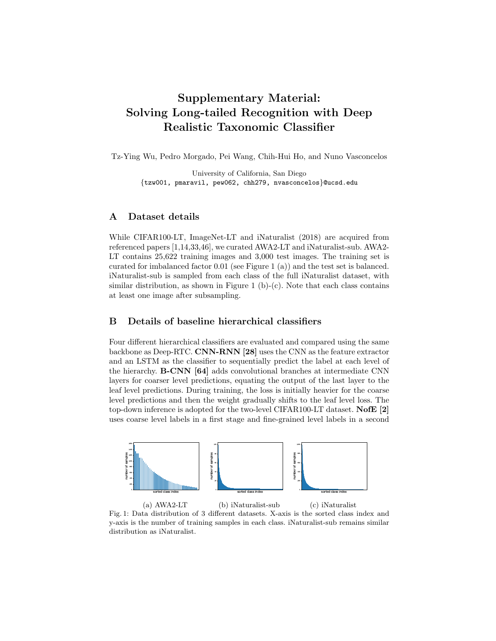# Supplementary Material: Solving Long-tailed Recognition with Deep Realistic Taxonomic Classifier

Tz-Ying Wu, Pedro Morgado, Pei Wang, Chih-Hui Ho, and Nuno Vasconcelos

University of California, San Diego {tzw001, pmaravil, pew062, chh279, nvasconcelos}@ucsd.edu

#### A Dataset details

While CIFAR100-LT, ImageNet-LT and iNaturalist (2018) are acquired from referenced papers [1,14,33,46], we curated AWA2-LT and iNaturalist-sub. AWA2- LT contains 25,622 training images and 3,000 test images. The training set is curated for imbalanced factor 0.01 (see Figure 1 (a)) and the test set is balanced. iNaturalist-sub is sampled from each class of the full iNaturalist dataset, with similar distribution, as shown in Figure 1 (b)-(c). Note that each class contains at least one image after subsampling.

### B Details of baseline hierarchical classifiers

Four different hierarchical classifiers are evaluated and compared using the same backbone as Deep-RTC. CNN-RNN [28] uses the CNN as the feature extractor and an LSTM as the classifier to sequentially predict the label at each level of the hierarchy. B-CNN [64] adds convolutional branches at intermediate CNN layers for coarser level predictions, equating the output of the last layer to the leaf level predictions. During training, the loss is initially heavier for the coarse level predictions and then the weight gradually shifts to the leaf level loss. The top-down inference is adopted for the two-level CIFAR100-LT dataset. NofE [2] uses coarse level labels in a first stage and fine-grained level labels in a second



(a) AWA2-LT (b) iNaturalist-sub (c) iNaturalist Fig. 1: Data distribution of 3 different datasets. X-axis is the sorted class index and y-axis is the number of training samples in each class. iNaturalist-sub remains similar distribution as iNaturalist.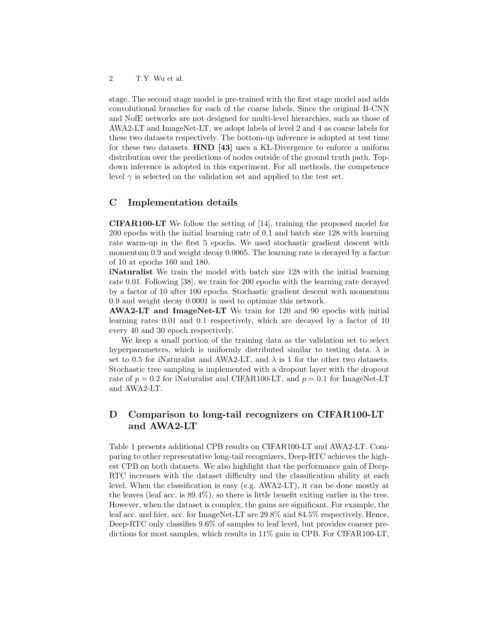stage. The second stage model is pre-trained with the first stage model and adds convolutional branches for each of the coarse labels. Since the original B-CNN and NofE networks are not designed for multi-level hierarchies, such as those of AWA2-LT and ImageNet-LT, we adopt labels of level 2 and 4 as coarse labels for these two datasets respectively. The bottom-up inference is adopted at test time for these two datasets. HND [43] uses a KL-Divergence to enforce a uniform distribution over the predictions of nodes outside of the ground truth path. Topdown inference is adopted in this experiment. For all methods, the competence level  $\gamma$  is selected on the validation set and applied to the test set.

#### C Implementation details

CIFAR100-LT We follow the setting of [14], training the proposed model for 200 epochs with the initial learning rate of 0.1 and batch size 128 with learning rate warm-up in the first 5 epochs. We used stochastic gradient descent with momentum 0.9 and weight decay 0.0005. The learning rate is decayed by a factor of 10 at epochs 160 and 180.

iNaturalist We train the model with batch size 128 with the initial learning rate 0.01. Following [38], we train for 200 epochs with the learning rate decayed by a factor of 10 after 100 epochs. Stochastic gradient descent with momentum 0.9 and weight decay 0.0001 is used to optimize this network.

AWA2-LT and ImageNet-LT We train for 120 and 90 epochs with initial learning rates 0.01 and 0.1 respectively, which are decayed by a factor of 10 every 40 and 30 epoch respectively.

We keep a small portion of the training data as the validation set to select hyperparameters, which is uniformly distributed similar to testing data.  $\lambda$  is set to 0.5 for iNaturalist and AWA2-LT, and  $\lambda$  is 1 for the other two datasets. Stochastic tree sampling is implemented with a dropout layer with the dropout rate of  $p = 0.2$  for iNaturalist and CIFAR100-LT, and  $p = 0.1$  for ImageNet-LT and AWA2-LT.

## D Comparison to long-tail recognizers on CIFAR100-LT and AWA2-LT

Table 1 presents additional CPB results on CIFAR100-LT and AWA2-LT. Comparing to other representative long-tail recognizers, Deep-RTC achieves the highest CPB on both datasets. We also highlight that the performance gain of Deep-RTC increases with the dataset difficulty and the classification ability at each level. When the classification is easy (e.g. AWA2-LT), it can be done mostly at the leaves (leaf acc. is 89.4%), so there is little benefit exiting earlier in the tree. However, when the dataset is complex, the gains are significant. For example, the leaf acc. and hier. acc. for ImageNet-LT are 29.8% and 84.5% respectively. Hence, Deep-RTC only classifies 9.6% of samples to leaf level, but provides coarser predictions for most samples, which results in 11% gain in CPB. For CIFAR100-LT,